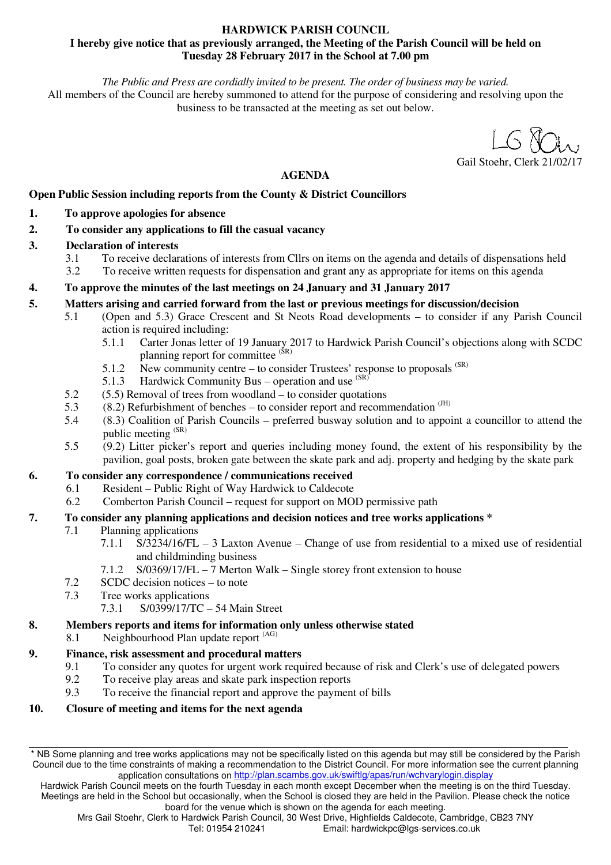### **HARDWICK PARISH COUNCIL I hereby give notice that as previously arranged, the Meeting of the Parish Council will be held on Tuesday 28 February 2017 in the School at 7.00 pm**

*The Public and Press are cordially invited to be present. The order of business may be varied.* 

All members of the Council are hereby summoned to attend for the purpose of considering and resolving upon the business to be transacted at the meeting as set out below.

Gail Stoehr, Clerk 21/02/17

### **AGENDA**

# **Open Public Session including reports from the County & District Councillors**

- **1. To approve apologies for absence**
- **2. To consider any applications to fill the casual vacancy**
- **3. Declaration of interests** 
	- 3.1 To receive declarations of interests from Cllrs on items on the agenda and details of dispensations held
	- 3.2 To receive written requests for dispensation and grant any as appropriate for items on this agenda

# **4. To approve the minutes of the last meetings on 24 January and 31 January 2017**

### **5. Matters arising and carried forward from the last or previous meetings for discussion/decision**

- 5.1 (Open and 5.3) Grace Crescent and St Neots Road developments to consider if any Parish Council action is required including:
	- 5.1.1 Carter Jonas letter of 19 January 2017 to Hardwick Parish Council's objections along with SCDC planning report for committee (SR)
	- 5.1.2 New community centre to consider Trustees' response to proposals  $(SR)$ <br>5.1.3 Hardwick Community Bus operation and use  $(SR)$
	- Hardwick Community Bus operation and use  $(SR)$
- 5.2 (5.5) Removal of trees from woodland to consider quotations
- 5.3 (8.2) Refurbishment of benches to consider report and recommendation  $\text{^{(JH)}}$
- 5.4 (8.3) Coalition of Parish Councils preferred busway solution and to appoint a councillor to attend the public meeting (SR)
- 5.5 (9.2) Litter picker's report and queries including money found, the extent of his responsibility by the pavilion, goal posts, broken gate between the skate park and adj. property and hedging by the skate park

# **6. To consider any correspondence / communications received**

- 6.1 Resident Public Right of Way Hardwick to Caldecote
- 6.2 Comberton Parish Council request for support on MOD permissive path

# **7. To consider any planning applications and decision notices and tree works applications \***

- 7.1 Planning applications
	- 7.1.1 S/3234/16/FL 3 Laxton Avenue Change of use from residential to a mixed use of residential and childminding business
	- 7.1.2 S/0369/17/FL 7 Merton Walk Single storey front extension to house
- 7.2 SCDC decision notices to note
- 7.3 Tree works applications
	- 7.3.1 S/0399/17/TC 54 Main Street

# **8. Members reports and items for information only unless otherwise stated**

8.1 Neighbourhood Plan update report (AG)

# **9. Finance, risk assessment and procedural matters**

- 9.1 To consider any quotes for urgent work required because of risk and Clerk's use of delegated powers
- 9.2 To receive play areas and skate park inspection reports
- 9.3 To receive the financial report and approve the payment of bills

# **10. Closure of meeting and items for the next agenda**

<sup>\*</sup> NB Some planning and tree works applications may not be specifically listed on this agenda but may still be considered by the Parish Council due to the time constraints of making a recommendation to the District Council. For more information see the current planning application consultations on http://plan.scambs.gov.uk/swiftlg/apas/run/wchvarylogin.display

Hardwick Parish Council meets on the fourth Tuesday in each month except December when the meeting is on the third Tuesday. Meetings are held in the School but occasionally, when the School is closed they are held in the Pavilion. Please check the notice board for the venue which is shown on the agenda for each meeting.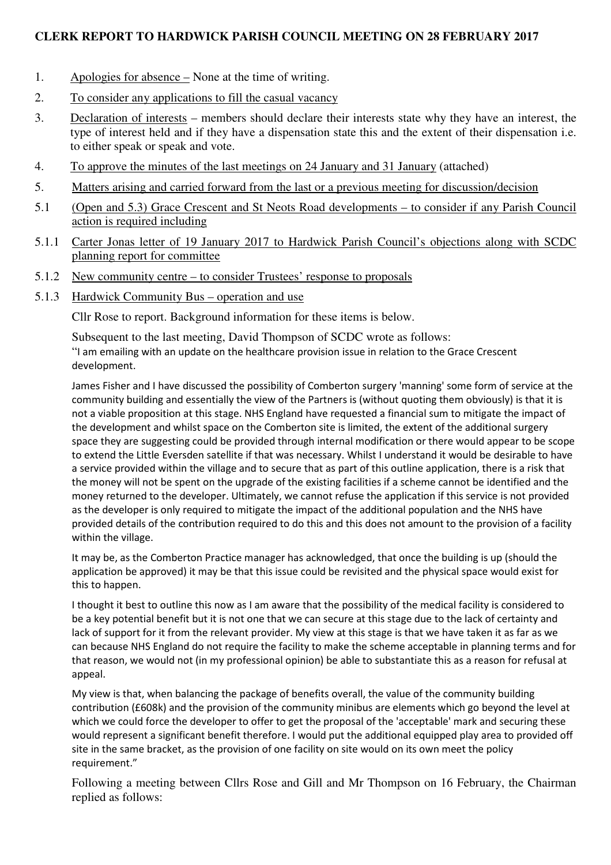# **CLERK REPORT TO HARDWICK PARISH COUNCIL MEETING ON 28 FEBRUARY 2017**

- 1. Apologies for absence None at the time of writing.
- 2. To consider any applications to fill the casual vacancy
- 3. Declaration of interests members should declare their interests state why they have an interest, the type of interest held and if they have a dispensation state this and the extent of their dispensation i.e. to either speak or speak and vote.
- 4. To approve the minutes of the last meetings on 24 January and 31 January (attached)
- 5. Matters arising and carried forward from the last or a previous meeting for discussion/decision
- 5.1 (Open and 5.3) Grace Crescent and St Neots Road developments to consider if any Parish Council action is required including
- 5.1.1 Carter Jonas letter of 19 January 2017 to Hardwick Parish Council's objections along with SCDC planning report for committee
- 5.1.2 New community centre to consider Trustees' response to proposals
- 5.1.3 Hardwick Community Bus operation and use

Cllr Rose to report. Background information for these items is below.

 Subsequent to the last meeting, David Thompson of SCDC wrote as follows: "I am emailing with an update on the healthcare provision issue in relation to the Grace Crescent development.

James Fisher and I have discussed the possibility of Comberton surgery 'manning' some form of service at the community building and essentially the view of the Partners is (without quoting them obviously) is that it is not a viable proposition at this stage. NHS England have requested a financial sum to mitigate the impact of the development and whilst space on the Comberton site is limited, the extent of the additional surgery space they are suggesting could be provided through internal modification or there would appear to be scope to extend the Little Eversden satellite if that was necessary. Whilst I understand it would be desirable to have a service provided within the village and to secure that as part of this outline application, there is a risk that the money will not be spent on the upgrade of the existing facilities if a scheme cannot be identified and the money returned to the developer. Ultimately, we cannot refuse the application if this service is not provided as the developer is only required to mitigate the impact of the additional population and the NHS have provided details of the contribution required to do this and this does not amount to the provision of a facility within the village.

It may be, as the Comberton Practice manager has acknowledged, that once the building is up (should the application be approved) it may be that this issue could be revisited and the physical space would exist for this to happen.

I thought it best to outline this now as I am aware that the possibility of the medical facility is considered to be a key potential benefit but it is not one that we can secure at this stage due to the lack of certainty and lack of support for it from the relevant provider. My view at this stage is that we have taken it as far as we can because NHS England do not require the facility to make the scheme acceptable in planning terms and for that reason, we would not (in my professional opinion) be able to substantiate this as a reason for refusal at appeal.

My view is that, when balancing the package of benefits overall, the value of the community building contribution (£608k) and the provision of the community minibus are elements which go beyond the level at which we could force the developer to offer to get the proposal of the 'acceptable' mark and securing these would represent a significant benefit therefore. I would put the additional equipped play area to provided off site in the same bracket, as the provision of one facility on site would on its own meet the policy requirement."

 Following a meeting between Cllrs Rose and Gill and Mr Thompson on 16 February, the Chairman replied as follows: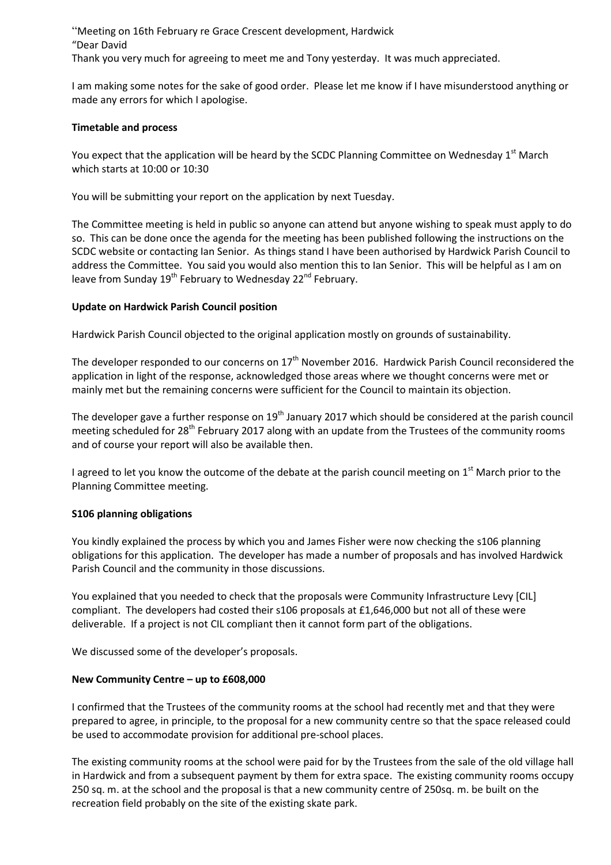"Meeting on 16th February re Grace Crescent development, Hardwick "Dear David

Thank you very much for agreeing to meet me and Tony yesterday. It was much appreciated.

I am making some notes for the sake of good order. Please let me know if I have misunderstood anything or made any errors for which I apologise.

#### **Timetable and process**

You expect that the application will be heard by the SCDC Planning Committee on Wednesday 1<sup>st</sup> March which starts at 10:00 or 10:30

You will be submitting your report on the application by next Tuesday.

The Committee meeting is held in public so anyone can attend but anyone wishing to speak must apply to do so. This can be done once the agenda for the meeting has been published following the instructions on the SCDC website or contacting Ian Senior. As things stand I have been authorised by Hardwick Parish Council to address the Committee. You said you would also mention this to Ian Senior. This will be helpful as I am on leave from Sunday  $19^{th}$  February to Wednesday  $22^{nd}$  February.

### **Update on Hardwick Parish Council position**

Hardwick Parish Council objected to the original application mostly on grounds of sustainability.

The developer responded to our concerns on  $17<sup>th</sup>$  November 2016. Hardwick Parish Council reconsidered the application in light of the response, acknowledged those areas where we thought concerns were met or mainly met but the remaining concerns were sufficient for the Council to maintain its objection.

The developer gave a further response on 19<sup>th</sup> January 2017 which should be considered at the parish council meeting scheduled for 28<sup>th</sup> February 2017 along with an update from the Trustees of the community rooms and of course your report will also be available then.

I agreed to let you know the outcome of the debate at the parish council meeting on  $1<sup>st</sup>$  March prior to the Planning Committee meeting.

### **S106 planning obligations**

You kindly explained the process by which you and James Fisher were now checking the s106 planning obligations for this application. The developer has made a number of proposals and has involved Hardwick Parish Council and the community in those discussions.

You explained that you needed to check that the proposals were Community Infrastructure Levy [CIL] compliant. The developers had costed their s106 proposals at £1,646,000 but not all of these were deliverable. If a project is not CIL compliant then it cannot form part of the obligations.

We discussed some of the developer's proposals.

### **New Community Centre – up to £608,000**

I confirmed that the Trustees of the community rooms at the school had recently met and that they were prepared to agree, in principle, to the proposal for a new community centre so that the space released could be used to accommodate provision for additional pre-school places.

The existing community rooms at the school were paid for by the Trustees from the sale of the old village hall in Hardwick and from a subsequent payment by them for extra space. The existing community rooms occupy 250 sq. m. at the school and the proposal is that a new community centre of 250sq. m. be built on the recreation field probably on the site of the existing skate park.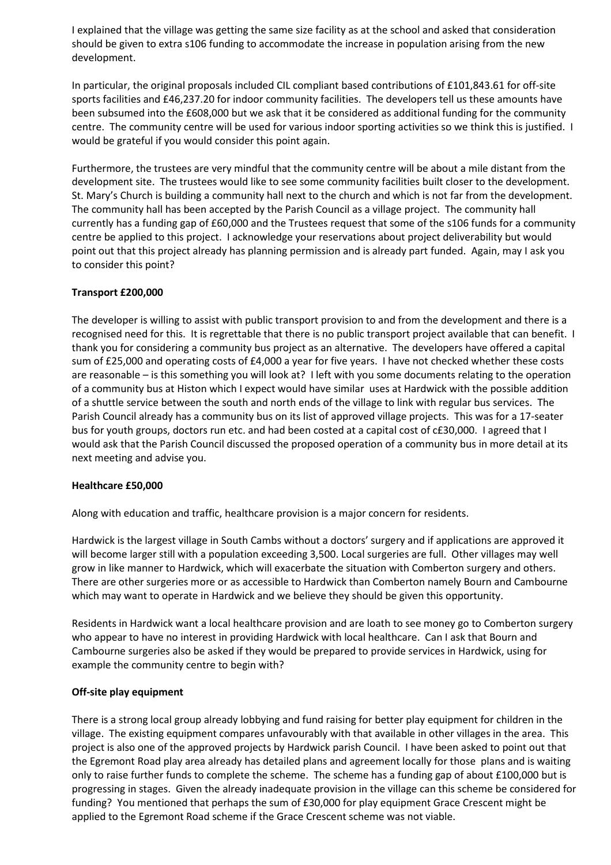I explained that the village was getting the same size facility as at the school and asked that consideration should be given to extra s106 funding to accommodate the increase in population arising from the new development.

In particular, the original proposals included CIL compliant based contributions of £101,843.61 for off-site sports facilities and £46,237.20 for indoor community facilities. The developers tell us these amounts have been subsumed into the £608,000 but we ask that it be considered as additional funding for the community centre. The community centre will be used for various indoor sporting activities so we think this is justified. I would be grateful if you would consider this point again.

Furthermore, the trustees are very mindful that the community centre will be about a mile distant from the development site. The trustees would like to see some community facilities built closer to the development. St. Mary's Church is building a community hall next to the church and which is not far from the development. The community hall has been accepted by the Parish Council as a village project. The community hall currently has a funding gap of £60,000 and the Trustees request that some of the s106 funds for a community centre be applied to this project. I acknowledge your reservations about project deliverability but would point out that this project already has planning permission and is already part funded. Again, may I ask you to consider this point?

### **Transport £200,000**

The developer is willing to assist with public transport provision to and from the development and there is a recognised need for this. It is regrettable that there is no public transport project available that can benefit. I thank you for considering a community bus project as an alternative. The developers have offered a capital sum of £25,000 and operating costs of £4,000 a year for five years. I have not checked whether these costs are reasonable – is this something you will look at? I left with you some documents relating to the operation of a community bus at Histon which I expect would have similar uses at Hardwick with the possible addition of a shuttle service between the south and north ends of the village to link with regular bus services. The Parish Council already has a community bus on its list of approved village projects. This was for a 17-seater bus for youth groups, doctors run etc. and had been costed at a capital cost of c£30,000. I agreed that I would ask that the Parish Council discussed the proposed operation of a community bus in more detail at its next meeting and advise you.

### **Healthcare £50,000**

Along with education and traffic, healthcare provision is a major concern for residents.

Hardwick is the largest village in South Cambs without a doctors' surgery and if applications are approved it will become larger still with a population exceeding 3,500. Local surgeries are full. Other villages may well grow in like manner to Hardwick, which will exacerbate the situation with Comberton surgery and others. There are other surgeries more or as accessible to Hardwick than Comberton namely Bourn and Cambourne which may want to operate in Hardwick and we believe they should be given this opportunity.

Residents in Hardwick want a local healthcare provision and are loath to see money go to Comberton surgery who appear to have no interest in providing Hardwick with local healthcare. Can I ask that Bourn and Cambourne surgeries also be asked if they would be prepared to provide services in Hardwick, using for example the community centre to begin with?

### **Off-site play equipment**

There is a strong local group already lobbying and fund raising for better play equipment for children in the village. The existing equipment compares unfavourably with that available in other villages in the area. This project is also one of the approved projects by Hardwick parish Council. I have been asked to point out that the Egremont Road play area already has detailed plans and agreement locally for those plans and is waiting only to raise further funds to complete the scheme. The scheme has a funding gap of about £100,000 but is progressing in stages. Given the already inadequate provision in the village can this scheme be considered for funding? You mentioned that perhaps the sum of £30,000 for play equipment Grace Crescent might be applied to the Egremont Road scheme if the Grace Crescent scheme was not viable.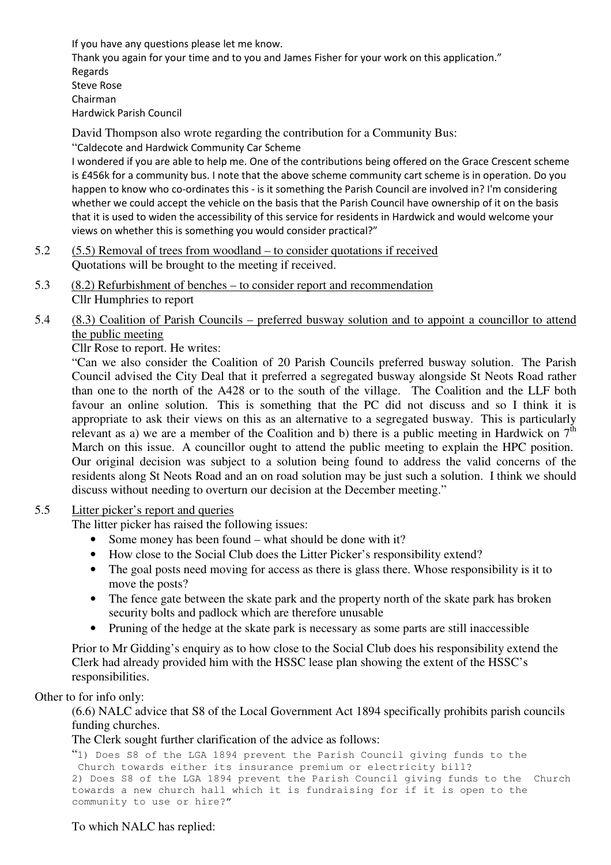If you have any questions please let me know. Thank you again for your time and to you and James Fisher for your work on this application." Regards Steve Rose Chairman Hardwick Parish Council

David Thompson also wrote regarding the contribution for a Community Bus:

"Caldecote and Hardwick Community Car Scheme

I wondered if you are able to help me. One of the contributions being offered on the Grace Crescent scheme is £456k for a community bus. I note that the above scheme community cart scheme is in operation. Do you happen to know who co-ordinates this - is it something the Parish Council are involved in? I'm considering whether we could accept the vehicle on the basis that the Parish Council have ownership of it on the basis that it is used to widen the accessibility of this service for residents in Hardwick and would welcome your views on whether this is something you would consider practical?"

- 5.2 (5.5) Removal of trees from woodland to consider quotations if received Quotations will be brought to the meeting if received.
- 5.3 (8.2) Refurbishment of benches to consider report and recommendation Cllr Humphries to report

# 5.4 (8.3) Coalition of Parish Councils – preferred busway solution and to appoint a councillor to attend the public meeting

Cllr Rose to report. He writes:

"Can we also consider the Coalition of 20 Parish Councils preferred busway solution. The Parish Council advised the City Deal that it preferred a segregated busway alongside St Neots Road rather than one to the north of the A428 or to the south of the village. The Coalition and the LLF both favour an online solution. This is something that the PC did not discuss and so I think it is appropriate to ask their views on this as an alternative to a segregated busway. This is particularly relevant as a) we are a member of the Coalition and b) there is a public meeting in Hardwick on  $7<sup>th</sup>$ March on this issue. A councillor ought to attend the public meeting to explain the HPC position. Our original decision was subject to a solution being found to address the valid concerns of the residents along St Neots Road and an on road solution may be just such a solution. I think we should discuss without needing to overturn our decision at the December meeting."

# 5.5 Litter picker's report and queries

The litter picker has raised the following issues:

- Some money has been found what should be done with it?
- How close to the Social Club does the Litter Picker's responsibility extend?
- The goal posts need moving for access as there is glass there. Whose responsibility is it to move the posts?
- The fence gate between the skate park and the property north of the skate park has broken security bolts and padlock which are therefore unusable
- Pruning of the hedge at the skate park is necessary as some parts are still inaccessible

Prior to Mr Gidding's enquiry as to how close to the Social Club does his responsibility extend the Clerk had already provided him with the HSSC lease plan showing the extent of the HSSC's responsibilities.

# Other to for info only:

(6.6) NALC advice that S8 of the Local Government Act 1894 specifically prohibits parish councils funding churches.

The Clerk sought further clarification of the advice as follows:

```
"1) Does S8 of the LGA 1894 prevent the Parish Council giving funds to the 
 Church towards either its insurance premium or electricity bill? 
2) Does S8 of the LGA 1894 prevent the Parish Council giving funds to the Church 
towards a new church hall which it is fundraising for if it is open to the 
community to use or hire?"
```
# To which NALC has replied: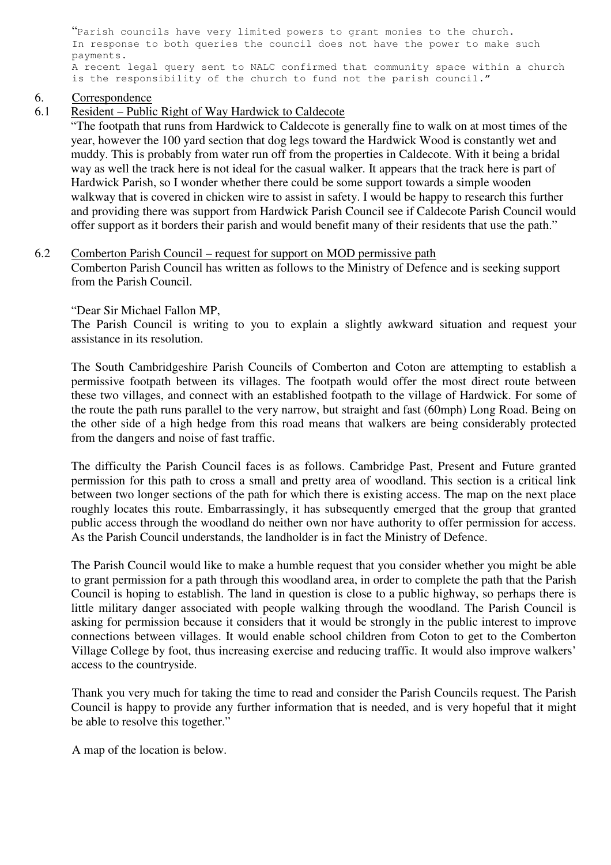"Parish councils have very limited powers to grant monies to the church. In response to both queries the council does not have the power to make such payments. A recent legal query sent to NALC confirmed that community space within a church is the responsibility of the church to fund not the parish council."

# 6. Correspondence

6.1 Resident – Public Right of Way Hardwick to Caldecote

"The footpath that runs from Hardwick to Caldecote is generally fine to walk on at most times of the year, however the 100 yard section that dog legs toward the Hardwick Wood is constantly wet and muddy. This is probably from water run off from the properties in Caldecote. With it being a bridal way as well the track here is not ideal for the casual walker. It appears that the track here is part of Hardwick Parish, so I wonder whether there could be some support towards a simple wooden walkway that is covered in chicken wire to assist in safety. I would be happy to research this further and providing there was support from Hardwick Parish Council see if Caldecote Parish Council would offer support as it borders their parish and would benefit many of their residents that use the path."

6.2 Comberton Parish Council – request for support on MOD permissive path Comberton Parish Council has written as follows to the Ministry of Defence and is seeking support from the Parish Council.

"Dear Sir Michael Fallon MP,

The Parish Council is writing to you to explain a slightly awkward situation and request your assistance in its resolution.

The South Cambridgeshire Parish Councils of Comberton and Coton are attempting to establish a permissive footpath between its villages. The footpath would offer the most direct route between these two villages, and connect with an established footpath to the village of Hardwick. For some of the route the path runs parallel to the very narrow, but straight and fast (60mph) Long Road. Being on the other side of a high hedge from this road means that walkers are being considerably protected from the dangers and noise of fast traffic.

The difficulty the Parish Council faces is as follows. Cambridge Past, Present and Future granted permission for this path to cross a small and pretty area of woodland. This section is a critical link between two longer sections of the path for which there is existing access. The map on the next place roughly locates this route. Embarrassingly, it has subsequently emerged that the group that granted public access through the woodland do neither own nor have authority to offer permission for access. As the Parish Council understands, the landholder is in fact the Ministry of Defence.

The Parish Council would like to make a humble request that you consider whether you might be able to grant permission for a path through this woodland area, in order to complete the path that the Parish Council is hoping to establish. The land in question is close to a public highway, so perhaps there is little military danger associated with people walking through the woodland. The Parish Council is asking for permission because it considers that it would be strongly in the public interest to improve connections between villages. It would enable school children from Coton to get to the Comberton Village College by foot, thus increasing exercise and reducing traffic. It would also improve walkers' access to the countryside.

 Thank you very much for taking the time to read and consider the Parish Councils request. The Parish Council is happy to provide any further information that is needed, and is very hopeful that it might be able to resolve this together."

A map of the location is below.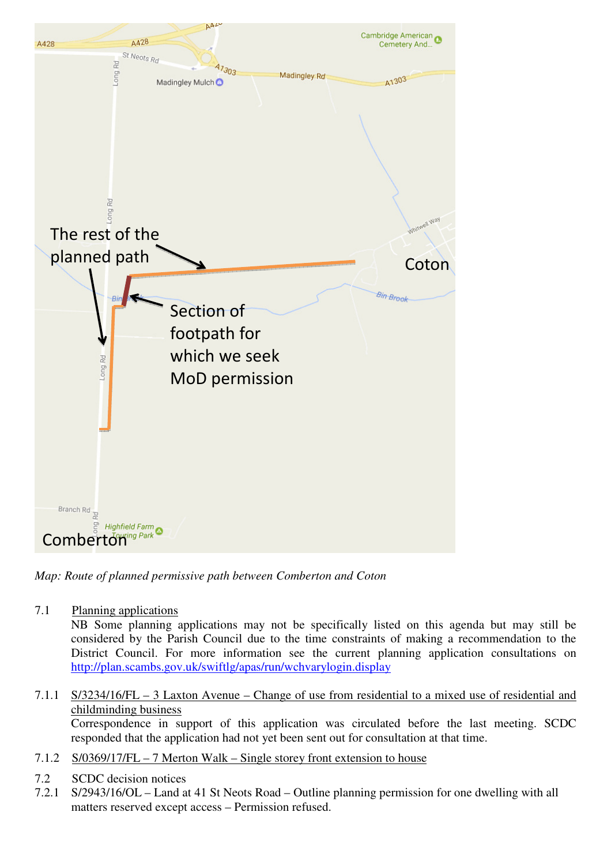

*Map: Route of planned permissive path between Comberton and Coton* 

7.1 Planning applications

NB Some planning applications may not be specifically listed on this agenda but may still be considered by the Parish Council due to the time constraints of making a recommendation to the District Council. For more information see the current planning application consultations on http://plan.scambs.gov.uk/swiftlg/apas/run/wchvarylogin.display

# 7.1.1 S/3234/16/FL – 3 Laxton Avenue – Change of use from residential to a mixed use of residential and childminding business

 Correspondence in support of this application was circulated before the last meeting. SCDC responded that the application had not yet been sent out for consultation at that time.

- 7.1.2 S/0369/17/FL 7 Merton Walk Single storey front extension to house
- 7.2 SCDC decision notices
- 7.2.1 S/2943/16/OL Land at 41 St Neots Road Outline planning permission for one dwelling with all matters reserved except access – Permission refused.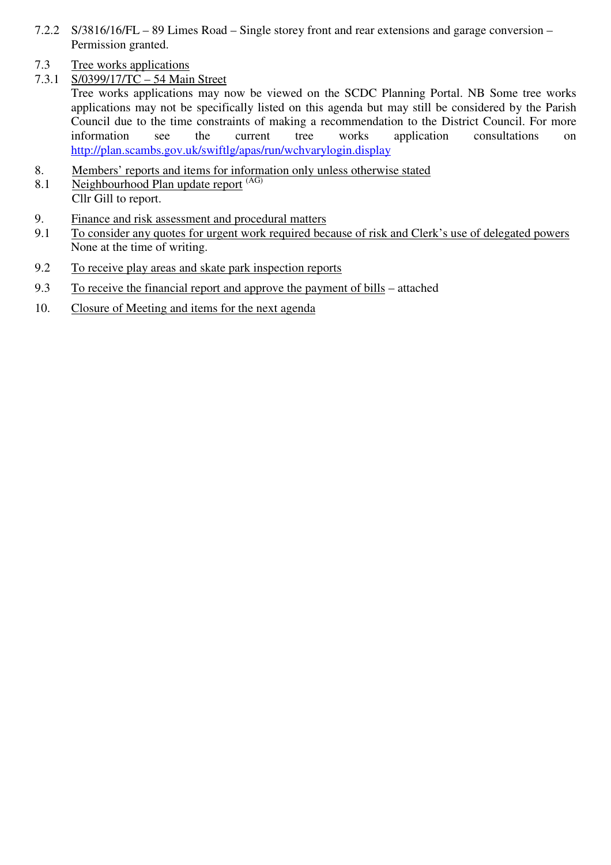- 7.2.2 S/3816/16/FL 89 Limes Road Single storey front and rear extensions and garage conversion Permission granted.
- 7.3 Tree works applications
- 7.3.1 S/0399/17/TC 54 Main Street

Tree works applications may now be viewed on the SCDC Planning Portal. NB Some tree works applications may not be specifically listed on this agenda but may still be considered by the Parish Council due to the time constraints of making a recommendation to the District Council. For more information see the current tree works application consultations on http://plan.scambs.gov.uk/swiftlg/apas/run/wchvarylogin.display

- 8. Members' reports and items for information only unless otherwise stated
- 8.1 Neighbourhood Plan update report (AG) Cllr Gill to report.
- 9. Finance and risk assessment and procedural matters
- 9.1 To consider any quotes for urgent work required because of risk and Clerk's use of delegated powers None at the time of writing.
- 9.2 To receive play areas and skate park inspection reports
- 9.3 To receive the financial report and approve the payment of bills attached
- 10. Closure of Meeting and items for the next agenda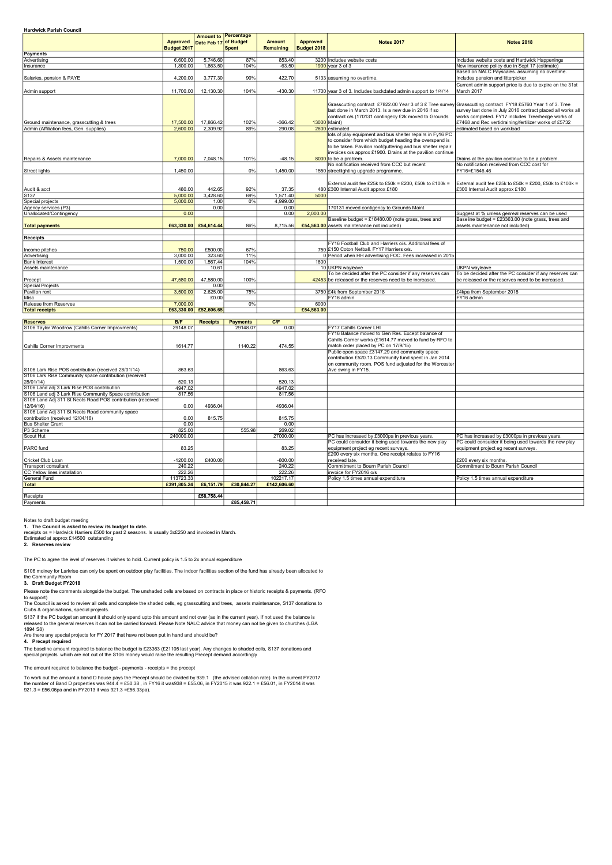| <b>Hardwick Parish Council</b>                                                      |                                |                       |                                      |                                   |                                |                                                                                                                                                                                                                                                                                                                                                                                     |                                                                                                                                                                                                           |
|-------------------------------------------------------------------------------------|--------------------------------|-----------------------|--------------------------------------|-----------------------------------|--------------------------------|-------------------------------------------------------------------------------------------------------------------------------------------------------------------------------------------------------------------------------------------------------------------------------------------------------------------------------------------------------------------------------------|-----------------------------------------------------------------------------------------------------------------------------------------------------------------------------------------------------------|
|                                                                                     | <b>Approved</b><br>Budget 2017 | Date Feb 17 of Budget | <b>Amount to Percentage</b><br>Spent | <b>Amount</b><br><b>Remaining</b> | <b>Approved</b><br>Budget 2018 | <b>Notes 2017</b>                                                                                                                                                                                                                                                                                                                                                                   | <b>Notes 2018</b>                                                                                                                                                                                         |
| <b>Payments</b>                                                                     |                                |                       |                                      |                                   |                                |                                                                                                                                                                                                                                                                                                                                                                                     |                                                                                                                                                                                                           |
| Advertising                                                                         | 6,600.00                       | 5,746.60              | 87%                                  | 853.40                            |                                | 3200 Includes website costs                                                                                                                                                                                                                                                                                                                                                         | Includes website costs and Hardwick Happenings                                                                                                                                                            |
| Insurance                                                                           | 1,800.00                       | 1,863.50              | 104%                                 | $-63.50$                          |                                | $1900$ year 3 of 3                                                                                                                                                                                                                                                                                                                                                                  | New insurance policy due in Sept 17 (estimate)                                                                                                                                                            |
| Salaries, pension & PAYE                                                            | 4,200.00                       | 3,777.30              | 90%                                  | 422.70                            |                                | 5133 assuming no overtime.                                                                                                                                                                                                                                                                                                                                                          | Based on NALC Payscales. assuming no overtime.<br>Includes pension and litterpicker                                                                                                                       |
| Admin support                                                                       | 11,700.00                      | 12,130.30             | 104%                                 | $-430.30$                         |                                | 11700 year 3 of 3. Includes backdated admin support to 1/4/14                                                                                                                                                                                                                                                                                                                       | Current admin support price is due to expire on the 31st<br>March 2017                                                                                                                                    |
| Ground maintenance, grasscutting & trees<br>Admin (Affiliation fees, Gen. supplies) | 17,500.00<br>2,600.00          | 17,866.42<br>2,309.92 | 102%<br>89%                          | $-366.42$<br>290.08               |                                | Grasscutting contract £7822.00 Year 3 of 3 £ Tree survey Grasscutting contract FY18 £5760 Year 1 of 3. Tree<br>last done in March 2013. Is a new due in 2016 if so<br>contract o/s (170131 contingecy £2k moved to Grounds<br>13000 Maint)<br>2600 estimated<br>lots of play equipment and bus shelter repairs in Fy16 PC<br>to consider from which budget heading the overspend is | survey last done in July 2016 contract placed all works all<br>works completed. FY17 includes Tree/hedge works of<br>£7468 and Rec vertidraining/fertilizer works of £5732<br>estimated based on workload |
|                                                                                     |                                |                       |                                      |                                   |                                | to be taken. Pavilion roof/guttering and bus shelter repair<br>invoices o/s approx £1900. Drains at the pavilion continue                                                                                                                                                                                                                                                           |                                                                                                                                                                                                           |
| Repairs & Assets maintenance                                                        | 7,000.00                       | 7,048.15              | 101%                                 | $-48.15$                          |                                | $8000$ to be a problem.                                                                                                                                                                                                                                                                                                                                                             | Drains at the pavilion continue to be a problem.                                                                                                                                                          |
|                                                                                     |                                |                       |                                      |                                   |                                | No notification received from CCC but recent                                                                                                                                                                                                                                                                                                                                        | No notification received from CCC cost for                                                                                                                                                                |
| Street lights                                                                       | 1,450.00                       |                       | 0%                                   | 1,450.00                          |                                | 1550 streetlighting upgrade programme.<br>External audit fee £25k to £50k = £200, £50k to £100k =                                                                                                                                                                                                                                                                                   | FY16=£1546.46<br>External audit fee £25k to £50k = £200, £50k to £100k =                                                                                                                                  |
| Audit & acct                                                                        | 480.00                         | 442.65                | 92%                                  | 37.35                             |                                | 480 £300 Internal Audit approx £180                                                                                                                                                                                                                                                                                                                                                 | £300 Internal Audit approx £180                                                                                                                                                                           |
| S <sub>137</sub>                                                                    | 5,000.00                       | 3,428.60              | 69%                                  | 1,571.40                          | 5000                           |                                                                                                                                                                                                                                                                                                                                                                                     |                                                                                                                                                                                                           |
| Special projects                                                                    | 5,000.00                       | 1.00                  | 0%                                   | 4,999.00                          |                                |                                                                                                                                                                                                                                                                                                                                                                                     |                                                                                                                                                                                                           |
| Agency services (P3)                                                                |                                | 0.00                  |                                      | 0.00                              |                                | 170131 moved contigency to Grounds Maint                                                                                                                                                                                                                                                                                                                                            |                                                                                                                                                                                                           |
| Unallocated/Contingency                                                             | 0.00                           |                       |                                      | 0.00                              | 2,000.00                       |                                                                                                                                                                                                                                                                                                                                                                                     | Suggest at % unless genreal reserves can be used                                                                                                                                                          |
| <b>Total payments</b>                                                               |                                | £63,330.00 £54,614.44 | 86%                                  | 8,715.56                          |                                | Baseline budget = £18480.00 (note grass, trees and<br>£54,563.00 assets maintenance not included)                                                                                                                                                                                                                                                                                   | Baseline budget = $£23363.00$ (note grass, trees and<br>assets maintenance not included)                                                                                                                  |
| Receipts                                                                            |                                |                       |                                      |                                   |                                |                                                                                                                                                                                                                                                                                                                                                                                     |                                                                                                                                                                                                           |
|                                                                                     |                                |                       |                                      |                                   |                                | FY16 Football Club and Harriers o/s. Additonal fees of                                                                                                                                                                                                                                                                                                                              |                                                                                                                                                                                                           |
| Income pitches                                                                      | 750.00                         | £500.00               | 67%                                  |                                   |                                | 750 £150 Coton Netball. FY17 Harriers o/s.                                                                                                                                                                                                                                                                                                                                          |                                                                                                                                                                                                           |
| Advertising                                                                         | 3,000.00                       | 323.60                | 11%                                  |                                   |                                | 0 Period when HH advertising FOC. Fees increased in 2015                                                                                                                                                                                                                                                                                                                            |                                                                                                                                                                                                           |
| <b>Bank Interest</b>                                                                | 1,500.00                       | 1,567.44              | 104%                                 |                                   | 1600                           |                                                                                                                                                                                                                                                                                                                                                                                     |                                                                                                                                                                                                           |
| Assets maintenance                                                                  |                                | 10.61                 |                                      |                                   |                                | 10 UKPN wayleave                                                                                                                                                                                                                                                                                                                                                                    | UKPN wayleave                                                                                                                                                                                             |
| Precept<br><b>Special Projects</b>                                                  | 47,580.00                      | 47,580.00<br>0.00     | 100%                                 |                                   |                                | To be decided after the PC consider if any reserves can<br>42453 be released or the reserves need to be increased.                                                                                                                                                                                                                                                                  | To be decided after the PC consider if any reserves can<br>be released or the reserves need to be increased.                                                                                              |
| Pavilion rent                                                                       | 3,500.00                       | 2,625.00              | 75%                                  |                                   |                                | 3750 £4k from September 2018                                                                                                                                                                                                                                                                                                                                                        | £4kpa from September 2018                                                                                                                                                                                 |
| Misc                                                                                |                                | £0.00                 |                                      |                                   |                                | FY16 admin                                                                                                                                                                                                                                                                                                                                                                          | FY16 admin                                                                                                                                                                                                |
| Release from Reserves                                                               | 7,000.00                       |                       | $0\%$                                |                                   | 6000                           |                                                                                                                                                                                                                                                                                                                                                                                     |                                                                                                                                                                                                           |
| <b>Total receipts</b>                                                               |                                | £63,330.00 £52,606.65 |                                      |                                   | £54,563.00                     |                                                                                                                                                                                                                                                                                                                                                                                     |                                                                                                                                                                                                           |
|                                                                                     |                                |                       |                                      |                                   |                                |                                                                                                                                                                                                                                                                                                                                                                                     |                                                                                                                                                                                                           |
| <b>Reserves</b>                                                                     | B/F                            | <b>Receipts</b>       | <b>Payments</b>                      | C/F                               |                                |                                                                                                                                                                                                                                                                                                                                                                                     |                                                                                                                                                                                                           |
| S106 Taylor Woodrow (Cahills Corner Improvments)                                    | 29148.07                       |                       | 29148.07                             | 0.00                              |                                | FY17 Cahills Corner LHI<br>FY16 Balance moved to Gen Res. Except balance of                                                                                                                                                                                                                                                                                                         |                                                                                                                                                                                                           |
| Cahills Corner Improvments                                                          | 1614.77                        |                       | 1140.22                              | 474.55                            |                                | Cahills Corner works (£1614.77 moved to fund by RFO to<br>match order placed by PC on 17/9/15)                                                                                                                                                                                                                                                                                      |                                                                                                                                                                                                           |
| S106 Lark Rise POS contribution (received 28/01/14)                                 | 863.63                         |                       |                                      | 863.63                            |                                | Public open space £3147.29 and community space<br>contribution £520.13 Community fund spent in Jan 2014<br>on community room. POS fund adjusted for the Worcester<br>Ave swing in FY15.                                                                                                                                                                                             |                                                                                                                                                                                                           |
| S106 Lark Rise Community space contribution (received<br>28/01/14)                  | 520.13                         |                       |                                      | 520.13                            |                                |                                                                                                                                                                                                                                                                                                                                                                                     |                                                                                                                                                                                                           |
| S106 Land adj 3 Lark Rise POS contribution                                          | 4947.02                        |                       |                                      | 4947.02                           |                                |                                                                                                                                                                                                                                                                                                                                                                                     |                                                                                                                                                                                                           |
| S106 Land adj 3 Lark Rise Community Space contribution                              | 817.56                         |                       |                                      | 817.56                            |                                |                                                                                                                                                                                                                                                                                                                                                                                     |                                                                                                                                                                                                           |
| S106 Land Adj 311 St Neots Road POS contribution (received<br>12/04/16)             | 0.00                           | 4936.04               |                                      | 4936.04                           |                                |                                                                                                                                                                                                                                                                                                                                                                                     |                                                                                                                                                                                                           |
| S106 Land Adj 311 St Neots Road community space<br>contribution (received 12/04/16) | 0.00                           | 815.75                |                                      | 815.75                            |                                |                                                                                                                                                                                                                                                                                                                                                                                     |                                                                                                                                                                                                           |
| <b>Bus Shelter Grant</b>                                                            | 0.00                           |                       |                                      | 0.00                              |                                |                                                                                                                                                                                                                                                                                                                                                                                     |                                                                                                                                                                                                           |
| P3 Scheme                                                                           | 825.00                         |                       | 555.98                               | 269.02                            |                                |                                                                                                                                                                                                                                                                                                                                                                                     |                                                                                                                                                                                                           |
| Scout Hut                                                                           | 240000.00                      |                       |                                      | 27000.00                          |                                | PC has increased by £3000pa in previous years.                                                                                                                                                                                                                                                                                                                                      | PC has increased by £3000pa in previous years.                                                                                                                                                            |
| PARC fund                                                                           | 83.25                          |                       |                                      | 83.25                             |                                | PC could consuider it being used towards the new play<br>equipment project eg recent surveys.                                                                                                                                                                                                                                                                                       | PC could consuider it being used towards the new play<br>equipment project eg recent surveys.                                                                                                             |
|                                                                                     |                                |                       |                                      |                                   |                                | £200 every six months. One receipt relates to FY16                                                                                                                                                                                                                                                                                                                                  |                                                                                                                                                                                                           |
| Cricket Club Loan                                                                   | $-1200.00$<br>240.22           | £400.00               |                                      | $-800.00$<br>240.22               |                                | received late.<br>Commitment to Bourn Parish Council                                                                                                                                                                                                                                                                                                                                | £200 every six months.<br>Commitment to Bourn Parish Council                                                                                                                                              |
| Transport consultant<br>CC Yellow lines installation                                | 222.26                         |                       |                                      | 222.26                            |                                | invoice for FY2016 o/s                                                                                                                                                                                                                                                                                                                                                              |                                                                                                                                                                                                           |
| General Fund                                                                        | 113723.33                      |                       |                                      | 102217.17                         |                                | Policy 1.5 times annual expenditure                                                                                                                                                                                                                                                                                                                                                 | Policy 1.5 times annual expenditure                                                                                                                                                                       |
| <b>Total</b>                                                                        | £391,805.24                    | £6,151.79             | £30,844.27                           | £142,606.60                       |                                |                                                                                                                                                                                                                                                                                                                                                                                     |                                                                                                                                                                                                           |
|                                                                                     |                                |                       |                                      |                                   |                                |                                                                                                                                                                                                                                                                                                                                                                                     |                                                                                                                                                                                                           |
| Receipts                                                                            |                                | £58,758.44            |                                      |                                   |                                |                                                                                                                                                                                                                                                                                                                                                                                     |                                                                                                                                                                                                           |
| Payments                                                                            |                                |                       | £85,458.71                           |                                   |                                |                                                                                                                                                                                                                                                                                                                                                                                     |                                                                                                                                                                                                           |

Notes to draft budget meeting

2. Reserves review

3. Draft Budget FY2018

#### 4. Precept required

The baseline amount required to balance the budget is £23363 (£21105 last year). Any changes to shaded cells, S137 donations and

special projects which are not out of the S106 money would raise the resulting Precept demand accordingly

1. The Council is asked to review its budget to date.

receipts os = Hardwick Harriers £500 for past 2 seasons. Is usually 3x£250 and invoiced in March. Estimated at approx £14500 outstanding

The PC to agree the level of reserves it wishes to hold. Current policy is 1.5 to 2x annual expenditure

S137 if the PC budget an amount it should only spend upto this amount and not over (as in the current year). If not used the balance is released to the general reserves it can not be carried forward. Please Note NALC advice that money can not be given to churches (LGA 1894 S8)

To work out the amount a band D house pays the Precept should be divided by 939.1 (the advised collation rate). In the current FY2017 the number of Band D properties was 944.4 = £50.38 , in FY16 it was938 = £55.06, in FY2015 it was 922.1 = £56.01, in FY2014 it was 921.3 = £56.06pa and in FY2013 it was 921.3 =£56.33pa).

Please note the comments alongside the budget. The unshaded cells are based on contracts in place or historic receipts & payments. (RFO to support)

Are there any special projects for FY 2017 that have not been put in hand and should be?

S106 moiney for Larkrise can only be spent on outdoor play facilities. The indoor facilities section of the fund has already been allocated to

the Community Room

The amount required to balance the budget - payments - receipts = the precept

The Council is asked to review all cells and complete the shaded cells, eg grasscutting and trees, assets maintenance, S137 donations to Clubs & organisations, special projects.